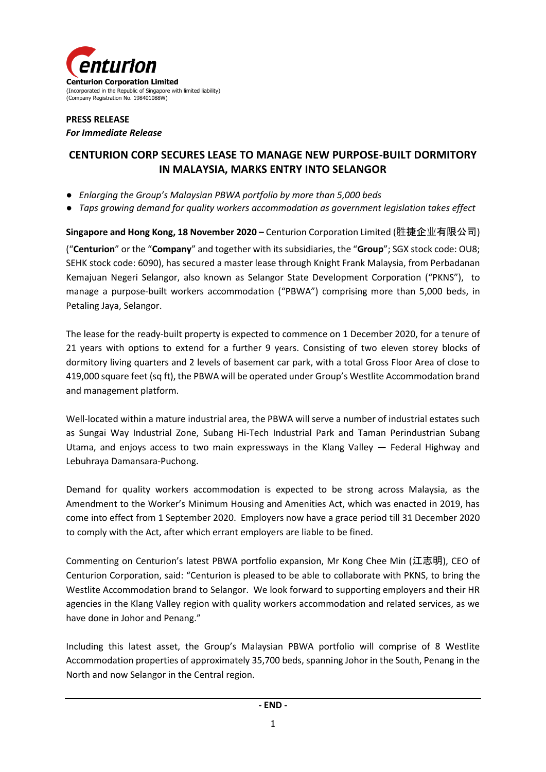

## **PRESS RELEASE**  *For Immediate Release*

# **CENTURION CORP SECURES LEASE TO MANAGE NEW PURPOSE-BUILT DORMITORY IN MALAYSIA, MARKS ENTRY INTO SELANGOR**

- *Enlarging the Group's Malaysian PBWA portfolio by more than 5,000 beds*
- *Taps growing demand for quality workers accommodation as government legislation takes effect*

**Singapore and Hong Kong, 18 November 2020 –** Centurion Corporation Limited (胜捷企业有限公司) ("**Centurion**" or the "**Company**" and together with its subsidiaries, the "**Group**"; SGX stock code: OU8; SEHK stock code: 6090), has secured a master lease through Knight Frank Malaysia, from Perbadanan Kemajuan Negeri Selangor, also known as Selangor State Development Corporation ("PKNS"), to manage a purpose-built workers accommodation ("PBWA") comprising more than 5,000 beds, in Petaling Jaya, Selangor.

The lease for the ready-built property is expected to commence on 1 December 2020, for a tenure of 21 years with options to extend for a further 9 years. Consisting of two eleven storey blocks of dormitory living quarters and 2 levels of basement car park, with a total Gross Floor Area of close to 419,000 square feet (sq ft), the PBWA will be operated under Group's Westlite Accommodation brand and management platform.

Well-located within a mature industrial area, the PBWA will serve a number of industrial estates such as Sungai Way Industrial Zone, Subang Hi-Tech Industrial Park and Taman Perindustrian Subang Utama, and enjoys access to two main expressways in the Klang Valley — Federal Highway and Lebuhraya Damansara-Puchong.

Demand for quality workers accommodation is expected to be strong across Malaysia, as the Amendment to the Worker's Minimum Housing and Amenities Act, which was enacted in 2019, has come into effect from 1 September 2020. Employers now have a grace period till 31 December 2020 to comply with the Act, after which errant employers are liable to be fined.

Commenting on Centurion's latest PBWA portfolio expansion, Mr Kong Chee Min (江志明), CEO of Centurion Corporation, said: "Centurion is pleased to be able to collaborate with PKNS, to bring the Westlite Accommodation brand to Selangor. We look forward to supporting employers and their HR agencies in the Klang Valley region with quality workers accommodation and related services, as we have done in Johor and Penang."

Including this latest asset, the Group's Malaysian PBWA portfolio will comprise of 8 Westlite Accommodation properties of approximately 35,700 beds, spanning Johor in the South, Penang in the North and now Selangor in the Central region.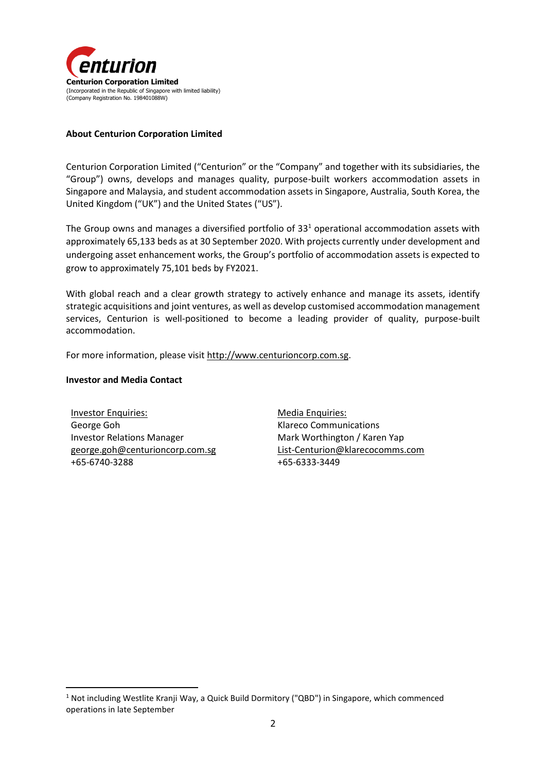

### **About Centurion Corporation Limited**

Centurion Corporation Limited ("Centurion" or the "Company" and together with its subsidiaries, the "Group") owns, develops and manages quality, purpose-built workers accommodation assets in Singapore and Malaysia, and student accommodation assets in Singapore, Australia, South Korea, the United Kingdom ("UK") and the United States ("US").

The Group owns and manages a diversified portfolio of  $33<sup>1</sup>$  operational accommodation assets with approximately 65,133 beds as at 30 September 2020. With projects currently under development and undergoing asset enhancement works, the Group's portfolio of accommodation assets is expected to grow to approximately 75,101 beds by FY2021.

With global reach and a clear growth strategy to actively enhance and manage its assets, identify strategic acquisitions and joint ventures, as well as develop customised accommodation management services, Centurion is well-positioned to become a leading provider of quality, purpose-built accommodation.

For more information, please visi[t http://www.centurioncorp.com.sg.](http://www.centurioncorp.com.sg/)

#### **Investor and Media Contact**

1

Investor Enquiries: George Goh Investor Relations Manager [george.goh@centurioncorp.com.sg](mailto:george.goh@centurioncorp.com.sg) +65-6740-3288

Media Enquiries: Klareco Communications Mark Worthington / Karen Yap [List-Centurion@klarecocomms.com](mailto:List-Centurion@klarecocomms.com) +65-6333-3449

<sup>1</sup> Not including Westlite Kranji Way, a Quick Build Dormitory ("QBD") in Singapore, which commenced operations in late September